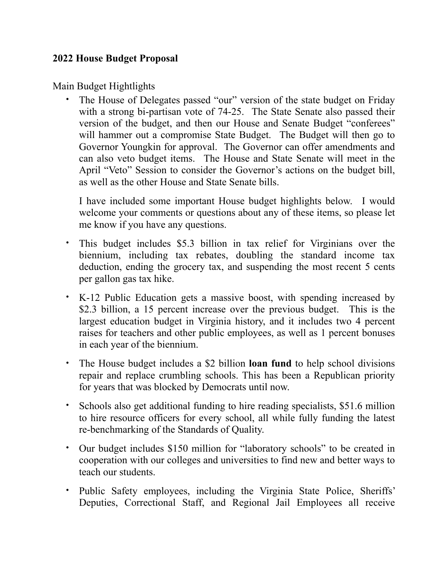#### **2022 House Budget Proposal**

Main Budget Hightlights

• The House of Delegates passed "our" version of the state budget on Friday with a strong bi-partisan vote of 74-25. The State Senate also passed their version of the budget, and then our House and Senate Budget "conferees" will hammer out a compromise State Budget. The Budget will then go to Governor Youngkin for approval. The Governor can offer amendments and can also veto budget items. The House and State Senate will meet in the April "Veto" Session to consider the Governor's actions on the budget bill, as well as the other House and State Senate bills.

I have included some important House budget highlights below. I would welcome your comments or questions about any of these items, so please let me know if you have any questions.

- This budget includes \$5.3 billion in tax relief for Virginians over the biennium, including tax rebates, doubling the standard income tax deduction, ending the grocery tax, and suspending the most recent 5 cents per gallon gas tax hike.
- K-12 Public Education gets a massive boost, with spending increased by \$2.3 billion, a 15 percent increase over the previous budget. This is the largest education budget in Virginia history, and it includes two 4 percent raises for teachers and other public employees, as well as 1 percent bonuses in each year of the biennium.
- The House budget includes a \$2 billion **loan fund** to help school divisions repair and replace crumbling schools. This has been a Republican priority for years that was blocked by Democrats until now.
- Schools also get additional funding to hire reading specialists, \$51.6 million to hire resource officers for every school, all while fully funding the latest re-benchmarking of the Standards of Quality.
- Our budget includes \$150 million for "laboratory schools" to be created in cooperation with our colleges and universities to find new and better ways to teach our students.
- Public Safety employees, including the Virginia State Police, Sheriffs' Deputies, Correctional Staff, and Regional Jail Employees all receive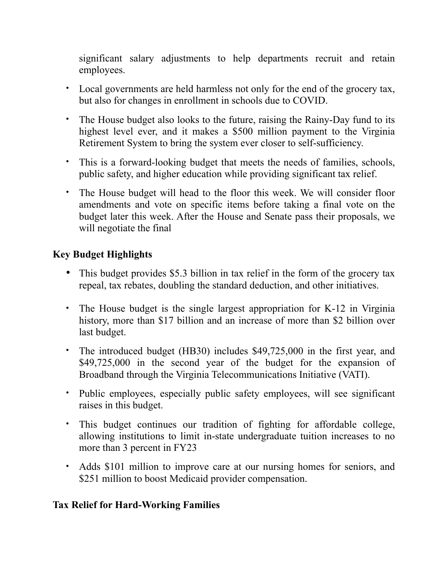significant salary adjustments to help departments recruit and retain employees.

- Local governments are held harmless not only for the end of the grocery tax, but also for changes in enrollment in schools due to COVID.
- The House budget also looks to the future, raising the Rainy-Day fund to its highest level ever, and it makes a \$500 million payment to the Virginia Retirement System to bring the system ever closer to self-sufficiency.
- This is a forward-looking budget that meets the needs of families, schools, public safety, and higher education while providing significant tax relief.
- The House budget will head to the floor this week. We will consider floor amendments and vote on specific items before taking a final vote on the budget later this week. After the House and Senate pass their proposals, we will negotiate the final

# **Key Budget Highlights**

- This budget provides \$5.3 billion in tax relief in the form of the grocery tax repeal, tax rebates, doubling the standard deduction, and other initiatives.
- The House budget is the single largest appropriation for K-12 in Virginia history, more than \$17 billion and an increase of more than \$2 billion over last budget.
- The introduced budget (HB30) includes \$49,725,000 in the first year, and \$49,725,000 in the second year of the budget for the expansion of Broadband through the Virginia Telecommunications Initiative (VATI).
- Public employees, especially public safety employees, will see significant raises in this budget.
- This budget continues our tradition of fighting for affordable college, allowing institutions to limit in-state undergraduate tuition increases to no more than 3 percent in FY23
- Adds \$101 million to improve care at our nursing homes for seniors, and \$251 million to boost Medicaid provider compensation.

# **Tax Relief for Hard-Working Families**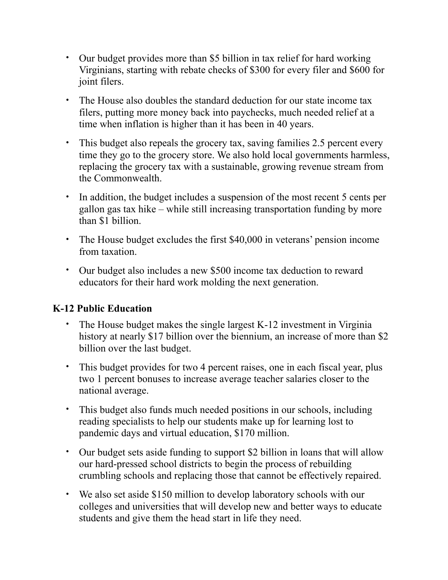- Our budget provides more than \$5 billion in tax relief for hard working Virginians, starting with rebate checks of \$300 for every filer and \$600 for joint filers.
- The House also doubles the standard deduction for our state income tax filers, putting more money back into paychecks, much needed relief at a time when inflation is higher than it has been in 40 years.
- This budget also repeals the grocery tax, saving families 2.5 percent every time they go to the grocery store. We also hold local governments harmless, replacing the grocery tax with a sustainable, growing revenue stream from the Commonwealth.
- In addition, the budget includes a suspension of the most recent 5 cents per gallon gas tax hike – while still increasing transportation funding by more than \$1 billion.
- The House budget excludes the first \$40,000 in veterans' pension income from taxation.
- Our budget also includes a new \$500 income tax deduction to reward educators for their hard work molding the next generation.

### **K-12 Public Education**

- The House budget makes the single largest K-12 investment in Virginia history at nearly \$17 billion over the biennium, an increase of more than \$2 billion over the last budget.
- This budget provides for two 4 percent raises, one in each fiscal year, plus two 1 percent bonuses to increase average teacher salaries closer to the national average.
- This budget also funds much needed positions in our schools, including reading specialists to help our students make up for learning lost to pandemic days and virtual education, \$170 million.
- Our budget sets aside funding to support \$2 billion in loans that will allow our hard-pressed school districts to begin the process of rebuilding crumbling schools and replacing those that cannot be effectively repaired.
- We also set aside \$150 million to develop laboratory schools with our colleges and universities that will develop new and better ways to educate students and give them the head start in life they need.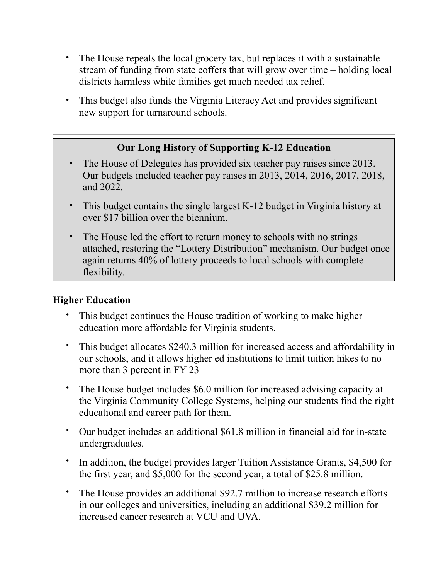- The House repeals the local grocery tax, but replaces it with a sustainable stream of funding from state coffers that will grow over time – holding local districts harmless while families get much needed tax relief.
- This budget also funds the Virginia Literacy Act and provides significant new support for turnaround schools.

# **Our Long History of Supporting K-12 Education**

- The House of Delegates has provided six teacher pay raises since 2013. Our budgets included teacher pay raises in 2013, 2014, 2016, 2017, 2018, and 2022.
- This budget contains the single largest K-12 budget in Virginia history at over \$17 billion over the biennium.
- The House led the effort to return money to schools with no strings attached, restoring the "Lottery Distribution" mechanism. Our budget once again returns 40% of lottery proceeds to local schools with complete flexibility.

### **Higher Education**

- This budget continues the House tradition of working to make higher education more affordable for Virginia students.
- This budget allocates \$240.3 million for increased access and affordability in our schools, and it allows higher ed institutions to limit tuition hikes to no more than 3 percent in FY 23
- The House budget includes \$6.0 million for increased advising capacity at the Virginia Community College Systems, helping our students find the right educational and career path for them.
- Our budget includes an additional \$61.8 million in financial aid for in-state undergraduates.
- In addition, the budget provides larger Tuition Assistance Grants, \$4,500 for the first year, and \$5,000 for the second year, a total of \$25.8 million.
- The House provides an additional \$92.7 million to increase research efforts in our colleges and universities, including an additional \$39.2 million for increased cancer research at VCU and UVA.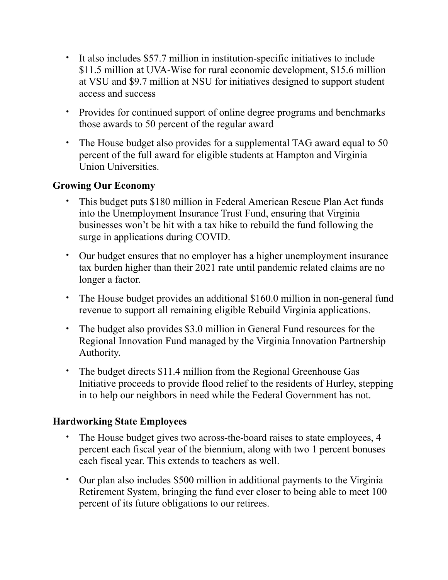- It also includes \$57.7 million in institution-specific initiatives to include \$11.5 million at UVA-Wise for rural economic development, \$15.6 million at VSU and \$9.7 million at NSU for initiatives designed to support student access and success
- Provides for continued support of online degree programs and benchmarks those awards to 50 percent of the regular award
- The House budget also provides for a supplemental TAG award equal to 50 percent of the full award for eligible students at Hampton and Virginia Union Universities.

### **Growing Our Economy**

- This budget puts \$180 million in Federal American Rescue Plan Act funds into the Unemployment Insurance Trust Fund, ensuring that Virginia businesses won't be hit with a tax hike to rebuild the fund following the surge in applications during COVID.
- Our budget ensures that no employer has a higher unemployment insurance tax burden higher than their 2021 rate until pandemic related claims are no longer a factor.
- The House budget provides an additional \$160.0 million in non-general fund revenue to support all remaining eligible Rebuild Virginia applications.
- The budget also provides \$3.0 million in General Fund resources for the Regional Innovation Fund managed by the Virginia Innovation Partnership Authority.
- The budget directs \$11.4 million from the Regional Greenhouse Gas Initiative proceeds to provide flood relief to the residents of Hurley, stepping in to help our neighbors in need while the Federal Government has not.

### **Hardworking State Employees**

- The House budget gives two across-the-board raises to state employees, 4 percent each fiscal year of the biennium, along with two 1 percent bonuses each fiscal year. This extends to teachers as well.
- Our plan also includes \$500 million in additional payments to the Virginia Retirement System, bringing the fund ever closer to being able to meet 100 percent of its future obligations to our retirees.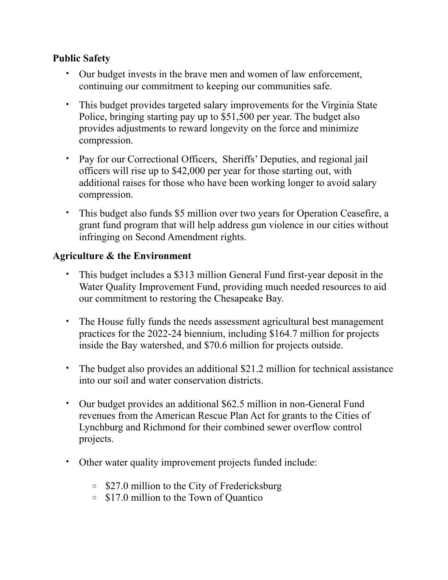### **Public Safety**

- Our budget invests in the brave men and women of law enforcement, continuing our commitment to keeping our communities safe.
- This budget provides targeted salary improvements for the Virginia State Police, bringing starting pay up to \$51,500 per year. The budget also provides adjustments to reward longevity on the force and minimize compression.
- Pay for our Correctional Officers, Sheriffs' Deputies, and regional jail officers will rise up to \$42,000 per year for those starting out, with additional raises for those who have been working longer to avoid salary compression.
- This budget also funds \$5 million over two years for Operation Ceasefire, a grant fund program that will help address gun violence in our cities without infringing on Second Amendment rights.

#### **Agriculture & the Environment**

- This budget includes a \$313 million General Fund first-year deposit in the Water Quality Improvement Fund, providing much needed resources to aid our commitment to restoring the Chesapeake Bay.
- The House fully funds the needs assessment agricultural best management practices for the 2022-24 biennium, including \$164.7 million for projects inside the Bay watershed, and \$70.6 million for projects outside.
- The budget also provides an additional \$21.2 million for technical assistance into our soil and water conservation districts.
- Our budget provides an additional \$62.5 million in non-General Fund revenues from the American Rescue Plan Act for grants to the Cities of Lynchburg and Richmond for their combined sewer overflow control projects.
- Other water quality improvement projects funded include:
	- o \$27.0 million to the City of Fredericksburg
	- o \$17.0 million to the Town of Quantico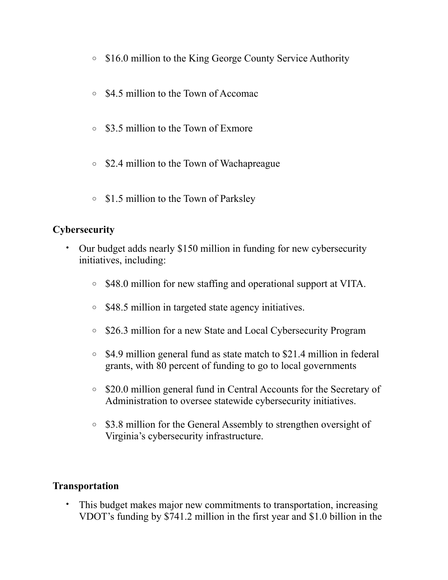- o \$16.0 million to the King George County Service Authority
- o \$4.5 million to the Town of Accomac
- o \$3.5 million to the Town of Exmore
- o \$2.4 million to the Town of Wachapreague
- o \$1.5 million to the Town of Parksley

# **Cybersecurity**

- Our budget adds nearly \$150 million in funding for new cybersecurity initiatives, including:
	- o \$48.0 million for new staffing and operational support at VITA.
	- o \$48.5 million in targeted state agency initiatives.
	- o \$26.3 million for a new State and Local Cybersecurity Program
	- o \$4.9 million general fund as state match to \$21.4 million in federal grants, with 80 percent of funding to go to local governments
	- o \$20.0 million general fund in Central Accounts for the Secretary of Administration to oversee statewide cybersecurity initiatives.
	- o \$3.8 million for the General Assembly to strengthen oversight of Virginia's cybersecurity infrastructure.

### **Transportation**

• This budget makes major new commitments to transportation, increasing VDOT's funding by \$741.2 million in the first year and \$1.0 billion in the